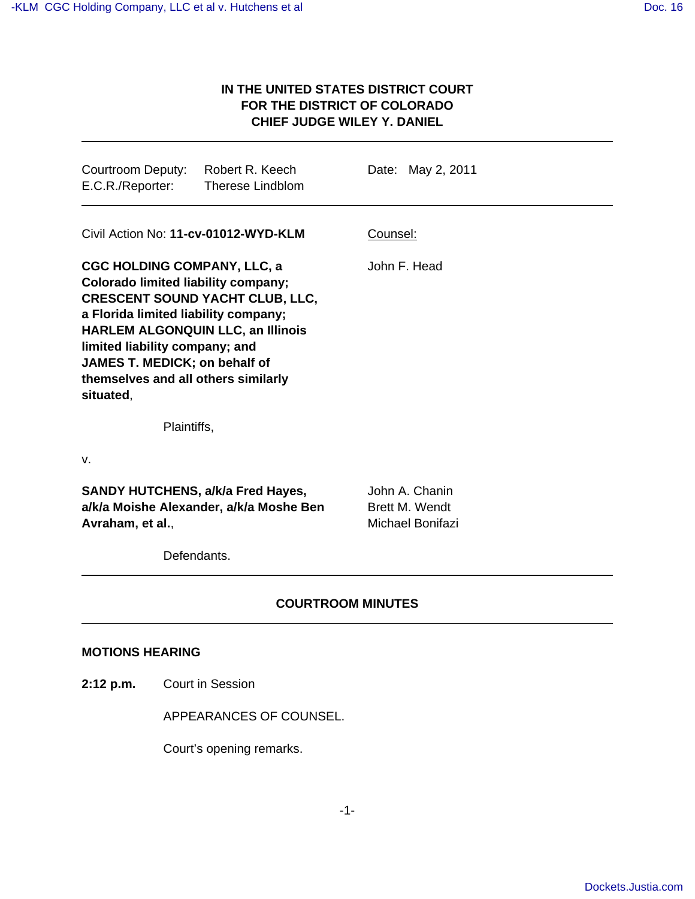## **IN THE UNITED STATES DISTRICT COURT FOR THE DISTRICT OF COLORADO CHIEF JUDGE WILEY Y. DANIEL**

| Courtroom Deputy: Robert R. Keech<br>E.C.R./Reporter:                                                                                                                                                                                                                                                                                 | <b>Therese Lindblom</b> | Date: May 2, 2011                                    |  |
|---------------------------------------------------------------------------------------------------------------------------------------------------------------------------------------------------------------------------------------------------------------------------------------------------------------------------------------|-------------------------|------------------------------------------------------|--|
| Civil Action No: 11-cv-01012-WYD-KLM                                                                                                                                                                                                                                                                                                  |                         | Counsel:                                             |  |
| <b>CGC HOLDING COMPANY, LLC, a</b><br><b>Colorado limited liability company;</b><br><b>CRESCENT SOUND YACHT CLUB, LLC,</b><br>a Florida limited liability company;<br><b>HARLEM ALGONQUIN LLC, an Illinois</b><br>limited liability company; and<br>JAMES T. MEDICK; on behalf of<br>themselves and all others similarly<br>situated, |                         | John F. Head                                         |  |
| Plaintiffs,                                                                                                                                                                                                                                                                                                                           |                         |                                                      |  |
| v.                                                                                                                                                                                                                                                                                                                                    |                         |                                                      |  |
| <b>SANDY HUTCHENS, a/k/a Fred Hayes,</b><br>a/k/a Moishe Alexander, a/k/a Moshe Ben<br>Avraham, et al.,                                                                                                                                                                                                                               |                         | John A. Chanin<br>Brett M. Wendt<br>Michael Bonifazi |  |
| Defendants.                                                                                                                                                                                                                                                                                                                           |                         |                                                      |  |
|                                                                                                                                                                                                                                                                                                                                       |                         |                                                      |  |

## **COURTROOM MINUTES**

## **MOTIONS HEARING**

**2:12 p.m.** Court in Session

APPEARANCES OF COUNSEL.

Court's opening remarks.